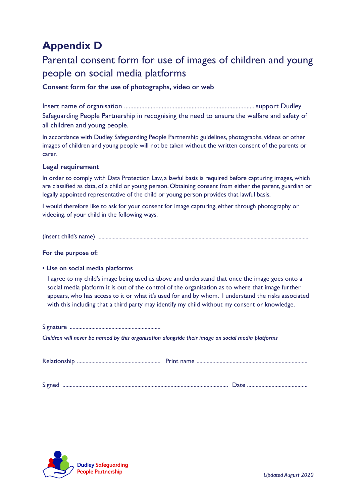# **Appendix D**

# Parental consent form for use of images of children and young people on social media platforms

## **Consent form for the use of photographs, video or web**

Insert name of organisation ................................................................................... support Dudley Safeguarding People Partnership in recognising the need to ensure the welfare and safety of all children and young people.

In accordance with Dudley Safeguarding People Partnership guidelines, photographs, videos or other images of children and young people will not be taken without the written consent of the parents or carer.

### **Legal requirement**

In order to comply with Data Protection Law, a lawful basis is required before capturing images, which are classified as data, of a child or young person. Obtaining consent from either the parent, guardian or legally appointed representative of the child or young person provides that lawful basis.

I would therefore like to ask for your consent for image capturing, either through photography or videoing, of your child in the following ways.

(insert child's name) ......................................................................................................................................................

#### **For the purpose of:**

#### **• Use on social media platforms**

I agree to my child's image being used as above and understand that once the image goes onto a social media platform it is out of the control of the organisation as to where that image further appears, who has access to it or what it's used for and by whom. I understand the risks associated with this including that a third party may identify my child without my consent or knowledge.

Signature ...............................................................

*Children will never be named by this organisation alongside their image on social media platforms*